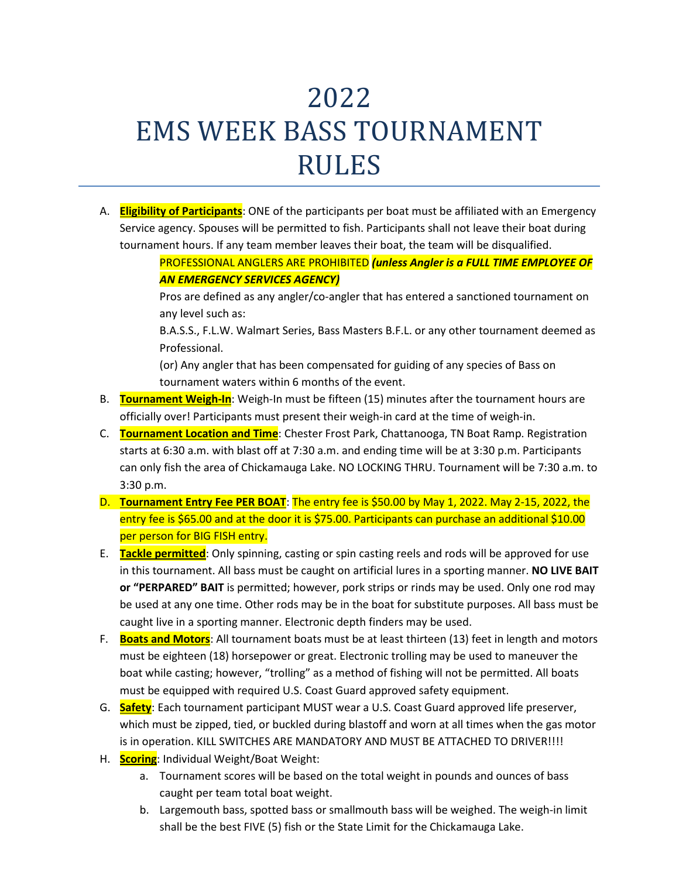## 2022 EMS WEEK BASS TOURNAMENT RULES

A. **Eligibility of Participants**: ONE of the participants per boat must be affiliated with an Emergency Service agency. Spouses will be permitted to fish. Participants shall not leave their boat during tournament hours. If any team member leaves their boat, the team will be disqualified.

Pros are defined as any angler/co-angler that has entered a sanctioned tournament on any level such as:

B.A.S.S., F.L.W. Walmart Series, Bass Masters B.F.L. or any other tournament deemed as Professional.

(or) Any angler that has been compensated for guiding of any species of Bass on tournament waters within 6 months of the event.

- B. **Tournament Weigh-In**: Weigh-In must be fifteen (15) minutes after the tournament hours are officially over! Participants must present their weigh-in card at the time of weigh-in.
- C. **Tournament Location and Time**: Chester Frost Park, Chattanooga, TN Boat Ramp. Registration starts at 6:30 a.m. with blast off at 7:30 a.m. and ending time will be at 3:30 p.m. Participants can only fish the area of Chickamauga Lake. NO LOCKING THRU. Tournament will be 7:30 a.m. to 3:30 p.m.
- D. **Tournament Entry Fee PER BOAT**: The entry fee is \$50.00 by May 1, 2022. May 2-15, 2022, the entry fee is \$65.00 and at the door it is \$75.00. Participants can purchase an additional \$10.00 per person for BIG FISH entry.
- E. **Tackle permitted**: Only spinning, casting or spin casting reels and rods will be approved for use in this tournament. All bass must be caught on artificial lures in a sporting manner. **NO LIVE BAIT or "PERPARED" BAIT** is permitted; however, pork strips or rinds may be used. Only one rod may be used at any one time. Other rods may be in the boat for substitute purposes. All bass must be caught live in a sporting manner. Electronic depth finders may be used.
- F. **Boats and Motors**: All tournament boats must be at least thirteen (13) feet in length and motors must be eighteen (18) horsepower or great. Electronic trolling may be used to maneuver the boat while casting; however, "trolling" as a method of fishing will not be permitted. All boats must be equipped with required U.S. Coast Guard approved safety equipment.
- G. **Safety**: Each tournament participant MUST wear a U.S. Coast Guard approved life preserver, which must be zipped, tied, or buckled during blastoff and worn at all times when the gas motor is in operation. KILL SWITCHES ARE MANDATORY AND MUST BE ATTACHED TO DRIVER!!!!
- H. **Scoring**: Individual Weight/Boat Weight:
	- a. Tournament scores will be based on the total weight in pounds and ounces of bass caught per team total boat weight.
	- b. Largemouth bass, spotted bass or smallmouth bass will be weighed. The weigh-in limit shall be the best FIVE (5) fish or the State Limit for the Chickamauga Lake.

PROFESSIONAL ANGLERS ARE PROHIBITED *(unless Angler is a FULL TIME EMPLOYEE OF AN EMERGENCY SERVICES AGENCY)*